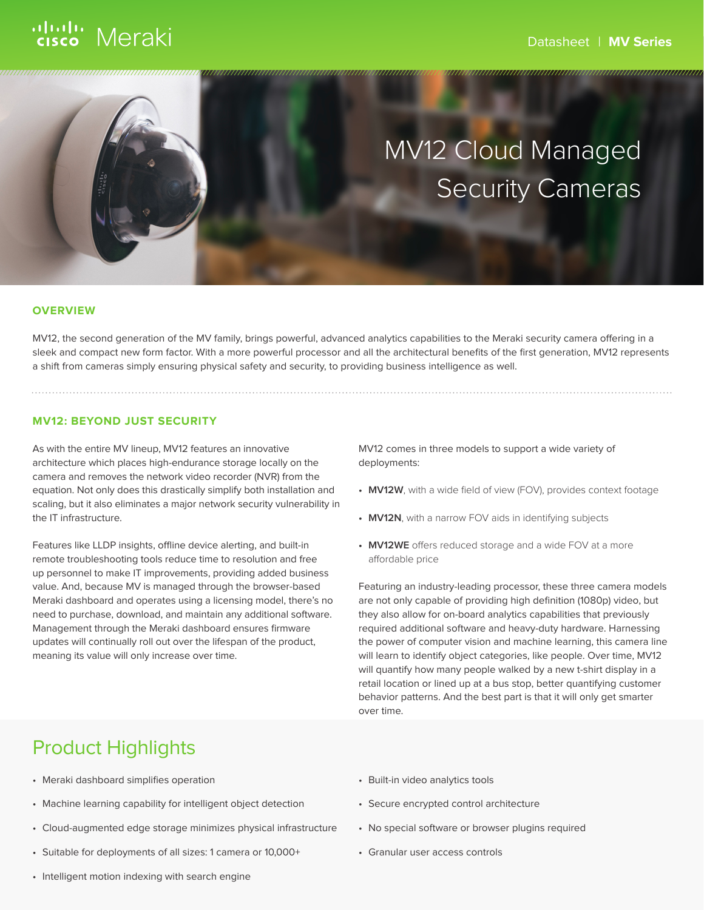# ululu Meraki



#### **OVERVIEW**

MV12, the second generation of the MV family, brings powerful, advanced analytics capabilities to the Meraki security camera offering in a sleek and compact new form factor. With a more powerful processor and all the architectural benefits of the first generation, MV12 represents a shift from cameras simply ensuring physical safety and security, to providing business intelligence as well.

#### **MV12: BEYOND JUST SECURITY**

As with the entire MV lineup, MV12 features an innovative architecture which places high-endurance storage locally on the camera and removes the network video recorder (NVR) from the equation. Not only does this drastically simplify both installation and scaling, but it also eliminates a major network security vulnerability in the IT infrastructure.

Features like LLDP insights, offline device alerting, and built-in remote troubleshooting tools reduce time to resolution and free up personnel to make IT improvements, providing added business value. And, because MV is managed through the browser-based Meraki dashboard and operates using a licensing model, there's no need to purchase, download, and maintain any additional software. Management through the Meraki dashboard ensures firmware updates will continually roll out over the lifespan of the product, meaning its value will only increase over time.

MV12 comes in three models to support a wide variety of deployments:

- **• MV12W**, with a wide field of view (FOV), provides context footage
- **• MV12N**, with a narrow FOV aids in identifying subjects
- **• MV12WE** offers reduced storage and a wide FOV at a more affordable price

Featuring an industry-leading processor, these three camera models are not only capable of providing high definition (1080p) video, but they also allow for on-board analytics capabilities that previously required additional software and heavy-duty hardware. Harnessing the power of computer vision and machine learning, this camera line will learn to identify object categories, like people. Over time, MV12 will quantify how many people walked by a new t-shirt display in a retail location or lined up at a bus stop, better quantifying customer behavior patterns. And the best part is that it will only get smarter over time.

### Product Highlights

- Meraki dashboard simplifies operation
- Machine learning capability for intelligent object detection
- Cloud-augmented edge storage minimizes physical infrastructure
- Suitable for deployments of all sizes: 1 camera or 10,000+
- Built-in video analytics tools
- Secure encrypted control architecture
- No special software or browser plugins required
- Granular user access controls

• Intelligent motion indexing with search engine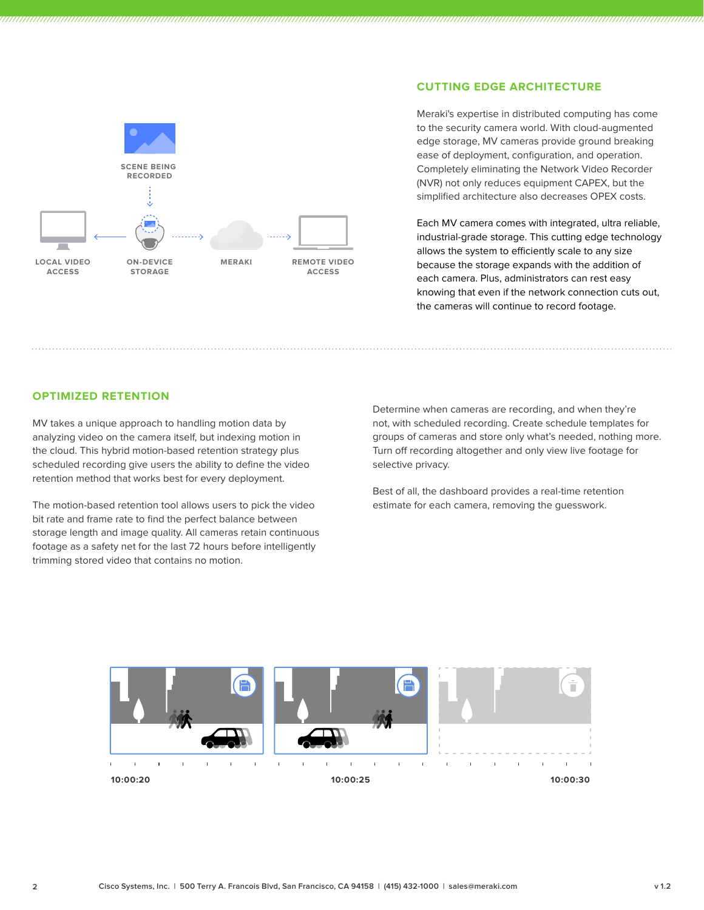

#### **CUTTING EDGE ARCHITECTURE**

Meraki's expertise in distributed computing has come to the security camera world. With cloud-augmented edge storage, MV cameras provide ground breaking ease of deployment, configuration, and operation. Completely eliminating the Network Video Recorder (NVR) not only reduces equipment CAPEX, but the simplified architecture also decreases OPEX costs.

Each MV camera comes with integrated, ultra reliable, industrial-grade storage. This cutting edge technology allows the system to efficiently scale to any size because the storage expands with the addition of each camera. Plus, administrators can rest easy knowing that even if the network connection cuts out, the cameras will continue to record footage.

#### **OPTIMIZED RETENTION**

MV takes a unique approach to handling motion data by analyzing video on the camera itself, but indexing motion in the cloud. This hybrid motion-based retention strategy plus scheduled recording give users the ability to define the video retention method that works best for every deployment.

The motion-based retention tool allows users to pick the video bit rate and frame rate to find the perfect balance between storage length and image quality. All cameras retain continuous footage as a safety net for the last 72 hours before intelligently trimming stored video that contains no motion.

Determine when cameras are recording, and when they're not, with scheduled recording. Create schedule templates for groups of cameras and store only what's needed, nothing more. Turn off recording altogether and only view live footage for selective privacy.

Best of all, the dashboard provides a real-time retention estimate for each camera, removing the guesswork.

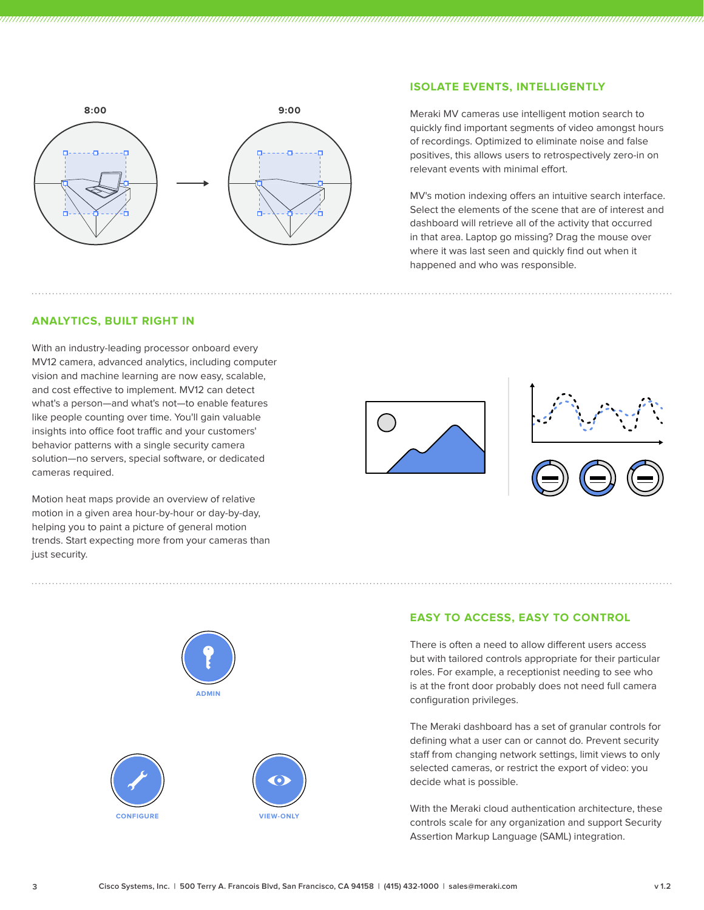

#### **ISOLATE EVENTS, INTELLIGENTLY**

Meraki MV cameras use intelligent motion search to quickly find important segments of video amongst hours of recordings. Optimized to eliminate noise and false positives, this allows users to retrospectively zero-in on relevant events with minimal effort.

MV's motion indexing offers an intuitive search interface. Select the elements of the scene that are of interest and dashboard will retrieve all of the activity that occurred in that area. Laptop go missing? Drag the mouse over where it was last seen and quickly find out when it happened and who was responsible.

#### **ANALYTICS, BUILT RIGHT IN**

With an industry-leading processor onboard every MV12 camera, advanced analytics, including computer vision and machine learning are now easy, scalable, and cost effective to implement. MV12 can detect what's a person—and what's not—to enable features like people counting over time. You'll gain valuable insights into office foot traffic and your customers' behavior patterns with a single security camera solution—no servers, special software, or dedicated cameras required.

Motion heat maps provide an overview of relative motion in a given area hour-by-hour or day-by-day, helping you to paint a picture of general motion trends. Start expecting more from your cameras than just security.







#### **EASY TO ACCESS, EASY TO CONTROL**

There is often a need to allow different users access but with tailored controls appropriate for their particular roles. For example, a receptionist needing to see who is at the front door probably does not need full camera configuration privileges.

The Meraki dashboard has a set of granular controls for defining what a user can or cannot do. Prevent security staff from changing network settings, limit views to only selected cameras, or restrict the export of video: you decide what is possible.

With the Meraki cloud authentication architecture, these controls scale for any organization and support Security Assertion Markup Language (SAML) integration.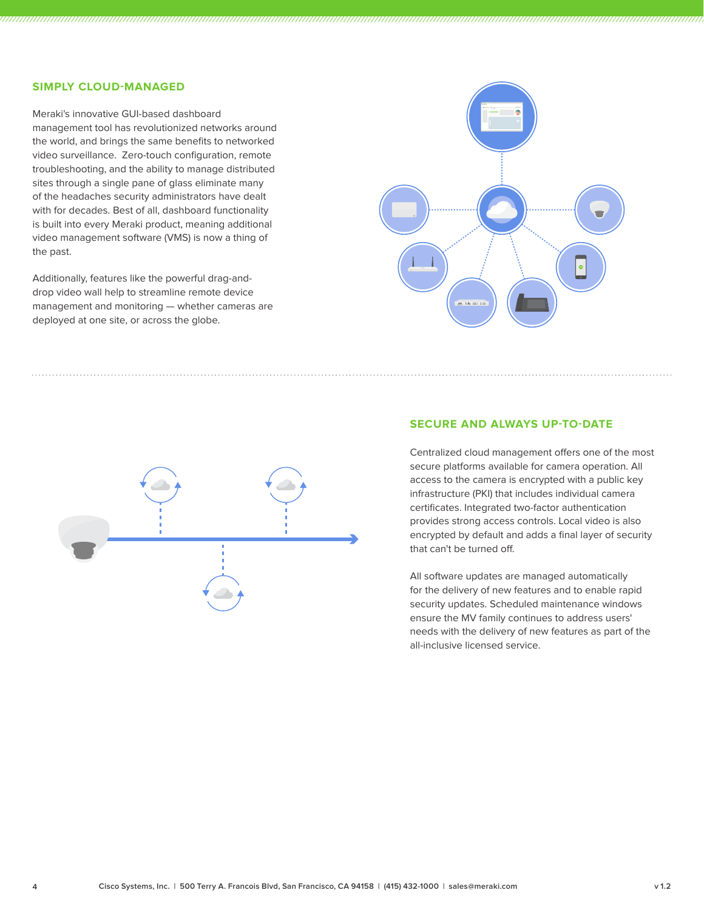#### **SIMPLY CLOUD-MANAGED**

Meraki's innovative GUI-based dashboard management tool has revolutionized networks around the world, and brings the same benefits to networked video surveillance. Zero-touch configuration, remote troubleshooting, and the ability to manage distributed sites through a single pane of glass eliminate many of the headaches security administrators have dealt with for decades. Best of all, dashboard functionality is built into every Meraki product, meaning additional video management software (VMS) is now a thing of the past.

Additionally, features like the powerful drag-anddrop video wall help to streamline remote device management and monitoring — whether cameras are deployed at one site, or across the globe.





#### **SECURE AND ALWAYS UP-TO-DATE**

Centralized cloud management offers one of the most secure platforms available for camera operation. All access to the camera is encrypted with a public key infrastructure (PKI) that includes individual camera certificates. Integrated two-factor authentication provides strong access controls. Local video is also encrypted by default and adds a final layer of security that can't be turned off.

All software updates are managed automatically for the delivery of new features and to enable rapid security updates. Scheduled maintenance windows ensure the MV family continues to address users' needs with the delivery of new features as part of the all-inclusive licensed service.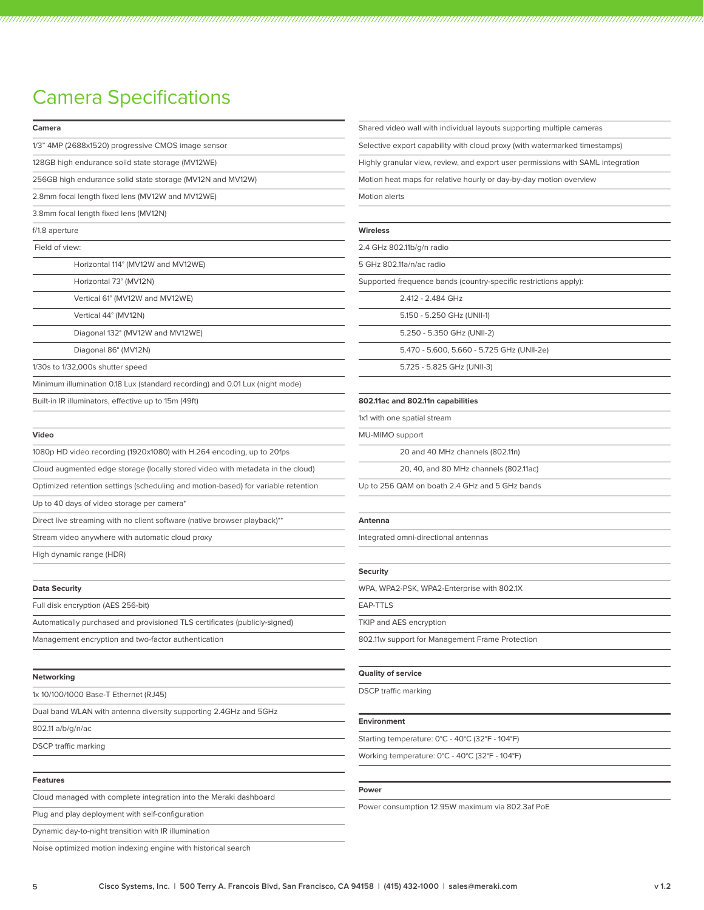## Camera Specifications

| Camera                                                                            | Shared video wall with individual layouts supporting multiple cameras           |
|-----------------------------------------------------------------------------------|---------------------------------------------------------------------------------|
| 1/3" 4MP (2688x1520) progressive CMOS image sensor                                | Selective export capability with cloud proxy (with watermarked timestamps)      |
| 128GB high endurance solid state storage (MV12WE)                                 | Highly granular view, review, and export user permissions with SAML integration |
| 256GB high endurance solid state storage (MV12N and MV12W)                        | Motion heat maps for relative hourly or day-by-day motion overview              |
| 2.8mm focal length fixed lens (MV12W and MV12WE)                                  | Motion alerts                                                                   |
| 3.8mm focal length fixed lens (MV12N)                                             |                                                                                 |
| f/1.8 aperture                                                                    | <b>Wireless</b>                                                                 |
| Field of view:                                                                    | 2.4 GHz 802.11b/g/n radio                                                       |
| Horizontal 114° (MV12W and MV12WE)                                                | 5 GHz 802.11a/n/ac radio                                                        |
| Horizontal 73° (MV12N)                                                            | Supported frequence bands (country-specific restrictions apply):                |
| Vertical 61° (MV12W and MV12WE)                                                   | 2.412 - 2.484 GHz                                                               |
| Vertical 44° (MV12N)                                                              | 5.150 - 5.250 GHz (UNII-1)                                                      |
| Diagonal 132° (MV12W and MV12WE)                                                  | 5.250 - 5.350 GHz (UNII-2)                                                      |
| Diagonal 86° (MV12N)                                                              | 5.470 - 5.600, 5.660 - 5.725 GHz (UNII-2e)                                      |
| 1/30s to 1/32,000s shutter speed                                                  | 5.725 - 5.825 GHz (UNII-3)                                                      |
| Minimum illumination 0.18 Lux (standard recording) and 0.01 Lux (night mode)      |                                                                                 |
| Built-in IR illuminators, effective up to 15m (49ft)                              | 802.11ac and 802.11n capabilities                                               |
|                                                                                   | 1x1 with one spatial stream                                                     |
| Video                                                                             | MU-MIMO support                                                                 |
| 1080p HD video recording (1920x1080) with H.264 encoding, up to 20fps             | 20 and 40 MHz channels (802.11n)                                                |
| Cloud augmented edge storage (locally stored video with metadata in the cloud)    | 20, 40, and 80 MHz channels (802.11ac)                                          |
| Optimized retention settings (scheduling and motion-based) for variable retention | Up to 256 QAM on boath 2.4 GHz and 5 GHz bands                                  |
| Up to 40 days of video storage per camera*                                        |                                                                                 |
| Direct live streaming with no client software (native browser playback)**         | Antenna                                                                         |
| Stream video anywhere with automatic cloud proxy                                  | Integrated omni-directional antennas                                            |
| High dynamic range (HDR)                                                          |                                                                                 |
|                                                                                   | <b>Security</b>                                                                 |
| <b>Data Security</b>                                                              | WPA, WPA2-PSK, WPA2-Enterprise with 802.1X                                      |
| Full disk encryption (AES 256-bit)                                                | EAP-TTLS                                                                        |
| Automatically purchased and provisioned TLS certificates (publicly-signed)        | TKIP and AES encryption                                                         |
| Management encryption and two-factor authentication                               | 802.11w support for Management Frame Protection                                 |
|                                                                                   |                                                                                 |
| Networking                                                                        | <b>Quality of service</b>                                                       |
| 1x 10/100/1000 Base-T Ethernet (RJ45)                                             | <b>DSCP</b> traffic marking                                                     |
| Dual band WLAN with antenna diversity supporting 2.4GHz and 5GHz                  |                                                                                 |
| 802.11 a/b/g/n/ac                                                                 | Environment                                                                     |
| <b>DSCP</b> traffic marking                                                       | Starting temperature: 0°C - 40°C (32°F - 104°F)                                 |
|                                                                                   | Working temperature: 0°C - 40°C (32°F - 104°F)                                  |
|                                                                                   |                                                                                 |
| <b>Features</b>                                                                   | Power                                                                           |
| Cloud managed with complete integration into the Meraki dashboard                 | Power consumption 12.95W maximum via 802.3af PoE                                |
| Plug and play deployment with self-configuration                                  |                                                                                 |
| Dynamic day-to-night transition with IR illumination                              |                                                                                 |

Noise optimized motion indexing engine with historical search

 $\overline{\phantom{a}}$ 

**Contract Contract Contract** 

<u> 1980 - Johann Barnett, fransk politiker (</u>

**Contract Contract** 

**Contract Contract Contract**